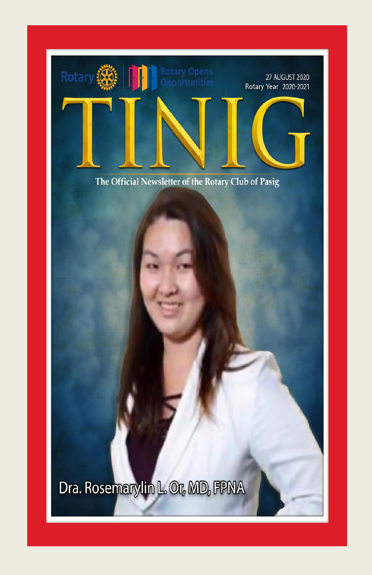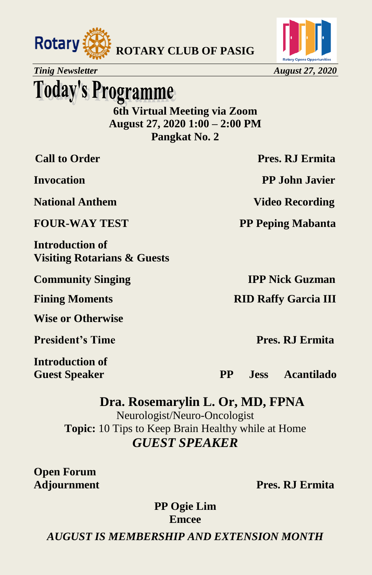



**Today's Programme** 

**6th Virtual Meeting via Zoom August 27, 2020 1:00 – 2:00 PM Pangkat No. 2**

**National Anthem Video Recording** 

**Introduction of Visiting Rotarians & Guests** 

**Community Singing IPP Nick Guzman** 

**Wise or Otherwise** 

**President's Time Pres. RJ Ermita** 

**Introduction of**

**Call to Order Pres. RJ Ermita** 

**Invocation PP John Javier**

**FOUR-WAY TEST PP Peping Mabanta** 

**Fining Moments RID Raffy Garcia III** 

**Guest Speaker PP Jess Acantilado**

**Dra. Rosemarylin L. Or, MD, FPNA** 

Neurologist/Neuro-Oncologist **Topic:** 10 Tips to Keep Brain Healthy while at Home *GUEST SPEAKER*

**Open Forum**

**Adjournment Pres. RJ Ermita**

**PP Ogie Lim Emcee**

*AUGUST IS MEMBERSHIP AND EXTENSION MONTH*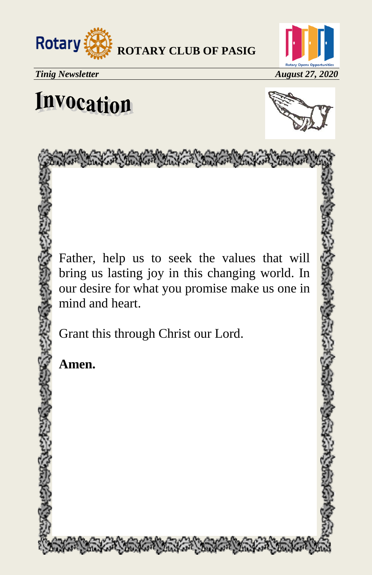

**A MARA BARA BARA BARA BARA BA** 



*Tinig Newsletter August 27, 2020*

# **Invocation**



Father, help us to seek the values that will bring us lasting joy in this changing world. In our desire for what you promise make us one in mind and heart.

Grant this through Christ our Lord.

**Amen.**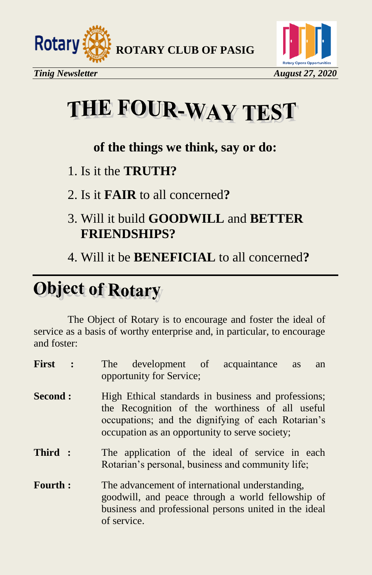



# THE FOUR-WAY TEST

## **of the things we think, say or do:**

- 1. Is it the **TRUTH?**
- 2. Is it **FAIR** to all concerned**?**
- 3. Will it build **GOODWILL** and **BETTER FRIENDSHIPS?**
- 4. Will it be **BENEFICIAL** to all concerned**?**

## **Object of Rotary**

The Object of Rotary is to encourage and foster the ideal of service as a basis of worthy enterprise and, in particular, to encourage and foster:

| First          | The         | development of acquaintance<br>opportunity for Service;                                                                                                                                                        |  |  | as | an |
|----------------|-------------|----------------------------------------------------------------------------------------------------------------------------------------------------------------------------------------------------------------|--|--|----|----|
| Second :       |             | High Ethical standards in business and professions;<br>the Recognition of the worthiness of all useful<br>occupations; and the dignifying of each Rotarian's<br>occupation as an opportunity to serve society; |  |  |    |    |
| Third:         |             | The application of the ideal of service in each<br>Rotarian's personal, business and community life;                                                                                                           |  |  |    |    |
| <b>Fourth:</b> | of service. | The advancement of international understanding,<br>goodwill, and peace through a world fellowship of<br>business and professional persons united in the ideal                                                  |  |  |    |    |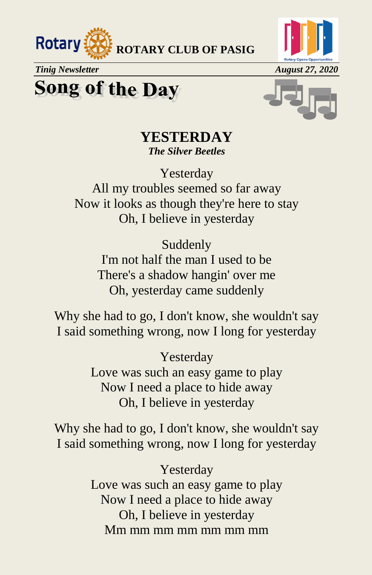



**Song of the Day** 



**YESTERDAY** *[The Silver Beetles](https://www.google.com/search?q=silver+beetles&stick=H4sIAAAAAAAAAONgVuLVT9c3NEyyMMuxsMwyW8TKV5yZU5ZapJCUmlqSk1oMAMCvWHkiAAAA&sa=X&ved=2ahUKEwjEk9uBn7jrAhXBF4gKHbkXBuAQMTAAegQIBBAD)*

Yesterday All my troubles seemed so far away Now it looks as though they're here to stay Oh, I believe in yesterday

Suddenly

I'm not half the man I used to be There's a shadow hangin' over me Oh, yesterday came suddenly

Why she had to go, I don't know, she wouldn't say I said something wrong, now I long for yesterday

> Yesterday Love was such an easy game to play Now I need a place to hide away Oh, I believe in yesterday

Why she had to go, I don't know, she wouldn't say I said something wrong, now I long for yesterday

> Yesterday Love was such an easy game to play Now I need a place to hide away Oh, I believe in yesterday Mm mm mm mm mm mm mm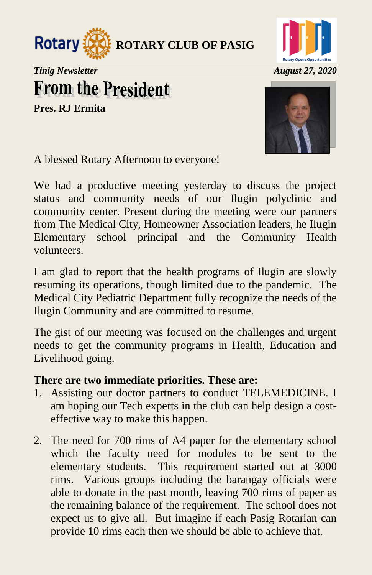![](_page_5_Picture_0.jpeg)

![](_page_5_Picture_1.jpeg)

# **From the President**

**Pres. RJ Ermita**

![](_page_5_Picture_5.jpeg)

A blessed Rotary Afternoon to everyone!

We had a productive meeting yesterday to discuss the project status and community needs of our Ilugin polyclinic and community center. Present during the meeting were our partners from The Medical City, Homeowner Association leaders, he Ilugin Elementary school principal and the Community Health volunteers.

I am glad to report that the health programs of Ilugin are slowly resuming its operations, though limited due to the pandemic. The Medical City Pediatric Department fully recognize the needs of the Ilugin Community and are committed to resume.

The gist of our meeting was focused on the challenges and urgent needs to get the community programs in Health, Education and Livelihood going.

## **There are two immediate priorities. These are:**

- 1. Assisting our doctor partners to conduct TELEMEDICINE. I am hoping our Tech experts in the club can help design a costeffective way to make this happen.
- 2. The need for 700 rims of A4 paper for the elementary school which the faculty need for modules to be sent to the elementary students. This requirement started out at 3000 rims. Various groups including the barangay officials were able to donate in the past month, leaving 700 rims of paper as the remaining balance of the requirement. The school does not expect us to give all. But imagine if each Pasig Rotarian can provide 10 rims each then we should be able to achieve that.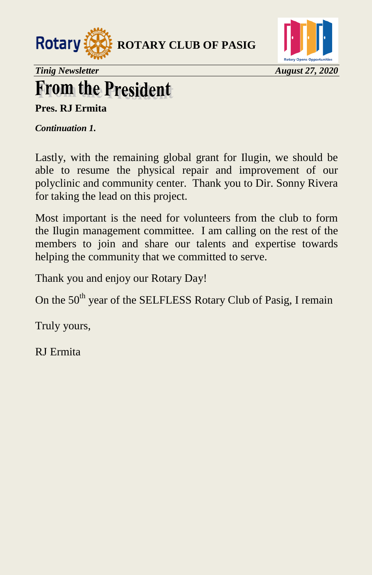![](_page_6_Picture_0.jpeg)

![](_page_6_Picture_1.jpeg)

## **From the President**

**Pres. RJ Ermita**

*Continuation 1.* 

Lastly, with the remaining global grant for Ilugin, we should be able to resume the physical repair and improvement of our polyclinic and community center. Thank you to Dir. Sonny Rivera for taking the lead on this project.

Most important is the need for volunteers from the club to form the Ilugin management committee. I am calling on the rest of the members to join and share our talents and expertise towards helping the community that we committed to serve.

Thank you and enjoy our Rotary Day!

On the 50<sup>th</sup> year of the SELFLESS Rotary Club of Pasig, I remain

Truly yours,

RJ Ermita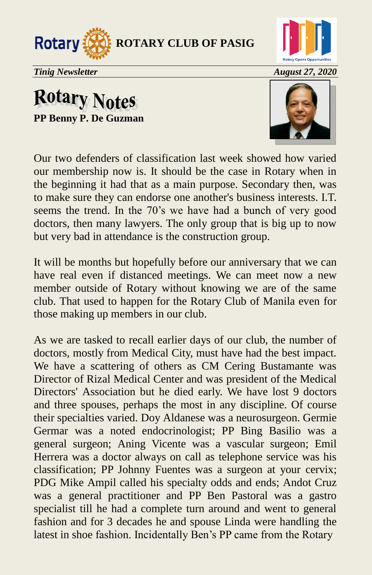![](_page_7_Picture_0.jpeg)

![](_page_7_Picture_1.jpeg)

## **Rotary Notes PP Benny P. De Guzman**

![](_page_7_Picture_4.jpeg)

Our two defenders of classification last week showed how varied our membership now is. It should be the case in Rotary when in the beginning it had that as a main purpose. Secondary then, was to make sure they can endorse one another's business interests. I.T. seems the trend. In the 70's we have had a bunch of very good doctors, then many lawyers. The only group that is big up to now but very bad in attendance is the construction group.

It will be months but hopefully before our anniversary that we can have real even if distanced meetings. We can meet now a new member outside of Rotary without knowing we are of the same club. That used to happen for the Rotary Club of Manila even for those making up members in our club.

As we are tasked to recall earlier days of our club, the number of doctors, mostly from Medical City, must have had the best impact. We have a scattering of others as CM Cering Bustamante was Director of Rizal Medical Center and was president of the Medical Directors' Association but he died early. We have lost 9 doctors and three spouses, perhaps the most in any discipline. Of course their specialties varied. Doy Aldanese was a neurosurgeon. Germie Germar was a noted endocrinologist; PP Bing Basilio was a general surgeon; Aning Vicente was a vascular surgeon; Emil Herrera was a doctor always on call as telephone service was his classification; PP Johnny Fuentes was a surgeon at your cervix; PDG Mike Ampil called his specialty odds and ends; Andot Cruz was a general practitioner and PP Ben Pastoral was a gastro specialist till he had a complete turn around and went to general fashion and for 3 decades he and spouse Linda were handling the latest in shoe fashion. Incidentally Ben's PP came from the Rotary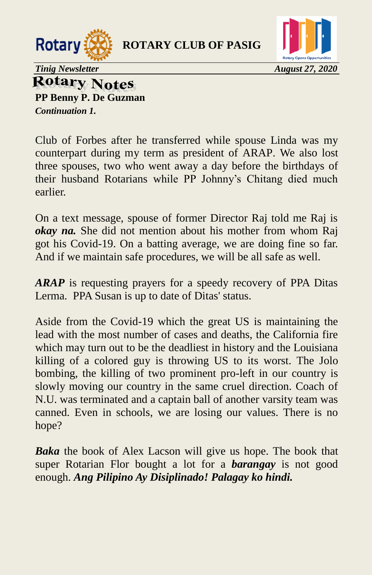![](_page_8_Picture_0.jpeg)

![](_page_8_Picture_2.jpeg)

**Rotary Notes PP Benny P. De Guzman** *Continuation 1.* 

Club of Forbes after he transferred while spouse Linda was my counterpart during my term as president of ARAP. We also lost three spouses, two who went away a day before the birthdays of their husband Rotarians while PP Johnny's Chitang died much earlier.

On a text message, spouse of former Director Raj told me Raj is *okay na.* She did not mention about his mother from whom Raj got his Covid-19. On a batting average, we are doing fine so far. And if we maintain safe procedures, we will be all safe as well.

*ARAP* is requesting prayers for a speedy recovery of PPA Ditas Lerma. PPA Susan is up to date of Ditas' status.

Aside from the Covid-19 which the great US is maintaining the lead with the most number of cases and deaths, the California fire which may turn out to be the deadliest in history and the Louisiana killing of a colored guy is throwing US to its worst. The Jolo bombing, the killing of two prominent pro-left in our country is slowly moving our country in the same cruel direction. Coach of N.U. was terminated and a captain ball of another varsity team was canned. Even in schools, we are losing our values. There is no hope?

*Baka* the book of Alex Lacson will give us hope. The book that super Rotarian Flor bought a lot for a *barangay* is not good enough. *Ang Pilipino Ay Disiplinado! Palagay ko hindi.*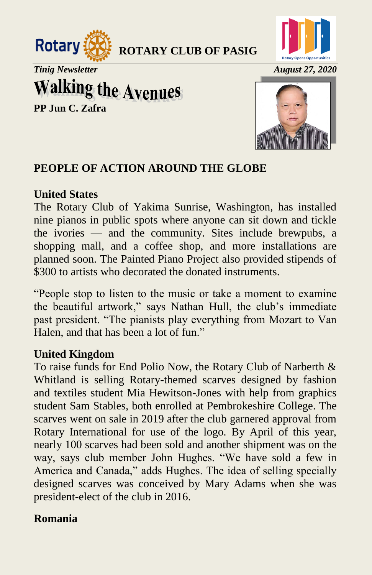![](_page_9_Picture_0.jpeg)

![](_page_9_Picture_2.jpeg)

*Tinig Newsletter August 27, 2020*

# **Walking the Avenues**

**PP Jun C. Zafra**

![](_page_9_Picture_6.jpeg)

## **PEOPLE OF ACTION AROUND THE GLOBE**

### **United States**

The Rotary Club of Yakima Sunrise, Washington, has installed nine pianos in public spots where anyone can sit down and tickle the ivories — and the community. Sites include brewpubs, a shopping mall, and a coffee shop, and more installations are planned soon. The Painted Piano Project also provided stipends of \$300 to artists who decorated the donated instruments.

―People stop to listen to the music or take a moment to examine the beautiful artwork," says Nathan Hull, the club's immediate past president. "The pianists play everything from Mozart to Van Halen, and that has been a lot of fun."

### **United Kingdom**

To raise funds for End Polio Now, the Rotary Club of Narberth & Whitland is selling Rotary-themed scarves designed by fashion and textiles student Mia Hewitson-Jones with help from graphics student Sam Stables, both enrolled at Pembrokeshire College. The scarves went on sale in 2019 after the club garnered approval from Rotary International for use of the logo. By April of this year, nearly 100 scarves had been sold and another shipment was on the way, says club member John Hughes. "We have sold a few in America and Canada," adds Hughes. The idea of selling specially designed scarves was conceived by Mary Adams when she was president-elect of the club in 2016.

## **Romania**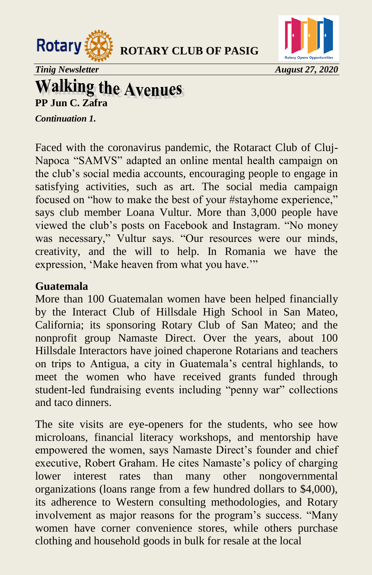![](_page_10_Picture_0.jpeg)

![](_page_10_Picture_2.jpeg)

*Tinig Newsletter August 27, 2020*

# **Walking the Avenues**<br>PP Jun C. Zafra

*Continuation 1.*

Faced with the coronavirus pandemic, the Rotaract Club of Cluj-Napoca "SAMVS" adapted an online mental health campaign on the club's social media accounts, encouraging people to engage in satisfying activities, such as art. The social media campaign focused on "how to make the best of your #stayhome experience," says club member Loana Vultur. More than 3,000 people have viewed the club's posts on Facebook and Instagram. "No money was necessary," Vultur says. "Our resources were our minds, creativity, and the will to help. In Romania we have the expression, 'Make heaven from what you have.'"

## **Guatemala**

More than 100 Guatemalan women have been helped financially by the Interact Club of Hillsdale High School in San Mateo, California; its sponsoring Rotary Club of San Mateo; and the nonprofit group Namaste Direct. Over the years, about 100 Hillsdale Interactors have joined chaperone Rotarians and teachers on trips to Antigua, a city in Guatemala's central highlands, to meet the women who have received grants funded through student-led fundraising events including "penny war" collections and taco dinners.

The site visits are eye-openers for the students, who see how microloans, financial literacy workshops, and mentorship have empowered the women, says Namaste Direct's founder and chief executive, Robert Graham. He cites Namaste's policy of charging lower interest rates than many other nongovernmental organizations (loans range from a few hundred dollars to \$4,000), its adherence to Western consulting methodologies, and Rotary involvement as major reasons for the program's success. "Many women have corner convenience stores, while others purchase clothing and household goods in bulk for resale at the local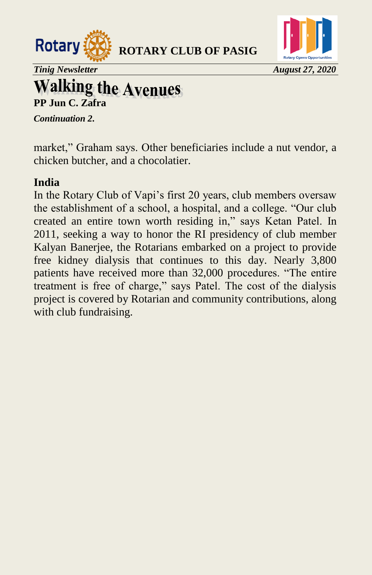![](_page_11_Picture_0.jpeg)

![](_page_11_Picture_2.jpeg)

*Tinig Newsletter* August 27, 2020

## **Walking the Avenues PP Jun C. Zafra**

*Continuation 2.*

market," Graham says. Other beneficiaries include a nut vendor, a chicken butcher, and a chocolatier.

### **India**

In the Rotary Club of Vapi's first 20 years, club members oversaw the establishment of a school, a hospital, and a college. "Our club" created an entire town worth residing in," says Ketan Patel. In 2011, seeking a way to honor the RI presidency of club member Kalyan Banerjee, the Rotarians embarked on a project to provide free kidney dialysis that continues to this day. Nearly 3,800 patients have received more than 32,000 procedures. "The entire treatment is free of charge," says Patel. The cost of the dialysis project is covered by Rotarian and community contributions, along with club fundraising.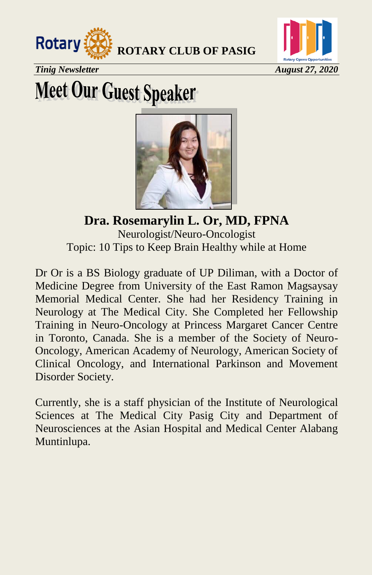![](_page_12_Picture_0.jpeg)

![](_page_12_Picture_2.jpeg)

*Tinig Newsletter* August 27, 2020

# **Meet Our Guest Speaker**

![](_page_12_Picture_5.jpeg)

**Dra. Rosemarylin L. Or, MD, FPNA**  Neurologist/Neuro-Oncologist Topic: 10 Tips to Keep Brain Healthy while at Home

Dr Or is a BS Biology graduate of UP Diliman, with a Doctor of Medicine Degree from University of the East Ramon Magsaysay Memorial Medical Center. She had her Residency Training in Neurology at The Medical City. She Completed her Fellowship Training in Neuro-Oncology at Princess Margaret Cancer Centre in Toronto, Canada. She is a member of the Society of Neuro-Oncology, American Academy of Neurology, American Society of Clinical Oncology, and International Parkinson and Movement Disorder Society.

Currently, she is a staff physician of the Institute of Neurological Sciences at The Medical City Pasig City and Department of Neurosciences at the Asian Hospital and Medical Center Alabang Muntinlupa.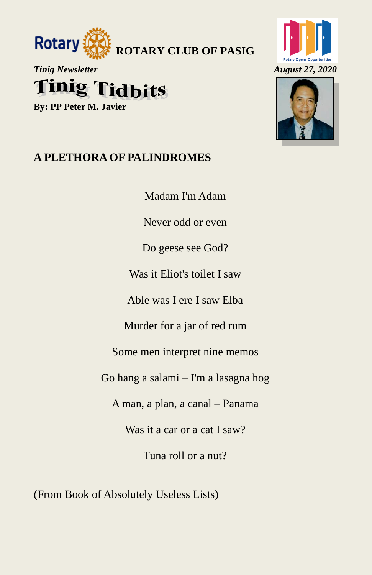![](_page_13_Picture_0.jpeg)

![](_page_13_Picture_2.jpeg)

*Tinig Newsletter August 27, 2020* **Tinig** l'idhits

**By: PP Peter M. Javier**

## **A PLETHORA OF PALINDROMES**

Madam I'm Adam

Never odd or even

Do geese see God?

Was it Eliot's toilet I saw

Able was I ere I saw Elba

Murder for a jar of red rum

Some men interpret nine memos

Go hang a salami – I'm a lasagna hog

A man, a plan, a canal – Panama

Was it a car or a cat I saw?

Tuna roll or a nut?

(From Book of Absolutely Useless Lists)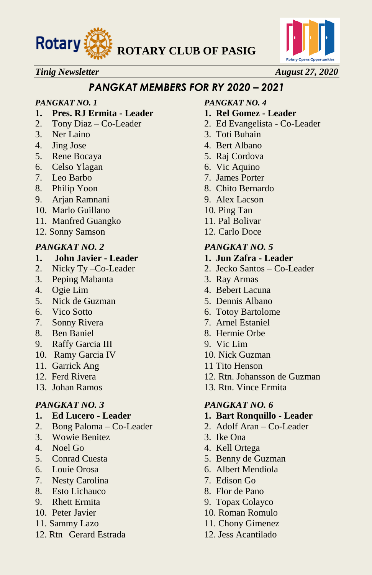![](_page_14_Picture_0.jpeg)

![](_page_14_Picture_1.jpeg)

## *PANGKAT MEMBERS FOR RY 2020 – 2021*

- **1. Pres. RJ Ermita - Leader 1. Rel Gomez - Leader**
- 
- 
- 
- 5. Rene Bocaya 5. Raj Cordova
- 6. Celso Ylagan 6. Vic Aquino
- 
- 
- 9. Arjan Ramnani 9. Alex Lacson
- 10. Marlo Guillano 10. Ping Tan
- 11. Manfred Guangko 11. Pal Bolivar
- 12. Sonny Samson 12. Carlo Doce

### *PANGKAT NO. 2 PANGKAT NO. 5*

### **1. John Javier - Leader 1. Jun Zafra - Leader**

- 
- 3. Peping Mabanta 3. Ray Armas
- 
- 5. Nick de Guzman 5. Dennis Albano
- 
- 7. Sonny Rivera 7. Arnel Estaniel
- 8. Ben Baniel 8. Hermie Orbe
- 9. Raffy Garcia III 9. Vic Lim
- 10. Ramy Garcia IV 10. Nick Guzman
- 
- 
- 

- 
- 2. Bong Paloma Co-Leader 2. Adolf Aran Co-Leader
- 3. Wowie Benitez 3. Ike Ona
- 
- 
- 
- 7. Nesty Carolina 7. Edison Go
- 8. Esto Lichauco 8. Flor de Pano
- 
- 
- 
- 12. Rtn Gerard Estrada 12. Jess Acantilado

### *PANGKAT NO. 1 PANGKAT NO. 4*

- 
- 2. Tony Diaz Co-Leader 2. Ed Evangelista Co-Leader
- 3. Ner Laino 3. Toti Buhain
- 4. Jing Jose 4. Bert Albano
	-
	-
- 7. Leo Barbo 7. James Porter
- 8. Philip Yoon 8. Chito Bernardo
	-
	-
	-
	-

- 
- 2. Nicky Ty –Co-Leader 2. Jecko Santos Co-Leader
	-
- 4. Ogie Lim 4. Bebert Lacuna
	-
- 6. Vico Sotto 6. Totoy Bartolome
	-
	-
	-
	-
- 11. Garrick Ang 11 Tito Henson
- 12. Ferd Rivera 12. Rtn. Johansson de Guzman
- 13. Johan Ramos 13. Rtn. Vince Ermita

### *PANGKAT NO. 3 PANGKAT NO. 6*

- **1. Ed Lucero - Leader 1. Bart Ronquillo - Leader**
	-
	-
- 4. Noel Go 4. Kell Ortega
- 5. Conrad Cuesta 5. Benny de Guzman
- 6. Louie Orosa 6. Albert Mendiola
	-
	-
- 9. Rhett Ermita 9. Topax Colayco
- 10. Peter Javier 10. Roman Romulo
- 11. Sammy Lazo 11. Chony Gimenez
	-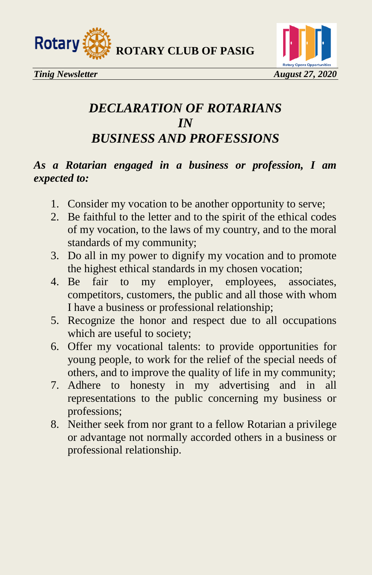![](_page_15_Picture_0.jpeg)

## *DECLARATION OF ROTARIANS IN BUSINESS AND PROFESSIONS*

## *As a Rotarian engaged in a business or profession, I am expected to:*

- 1. Consider my vocation to be another opportunity to serve;
- 2. Be faithful to the letter and to the spirit of the ethical codes of my vocation, to the laws of my country, and to the moral standards of my community;
- 3. Do all in my power to dignify my vocation and to promote the highest ethical standards in my chosen vocation;
- 4. Be fair to my employer, employees, associates, competitors, customers, the public and all those with whom I have a business or professional relationship;
- 5. Recognize the honor and respect due to all occupations which are useful to society;
- 6. Offer my vocational talents: to provide opportunities for young people, to work for the relief of the special needs of others, and to improve the quality of life in my community;
- 7. Adhere to honesty in my advertising and in all representations to the public concerning my business or professions;
- 8. Neither seek from nor grant to a fellow Rotarian a privilege or advantage not normally accorded others in a business or professional relationship.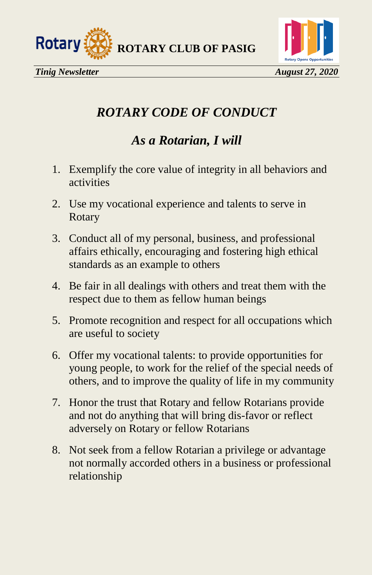![](_page_16_Picture_0.jpeg)

![](_page_16_Picture_1.jpeg)

## *ROTARY CODE OF CONDUCT*

## *As a Rotarian, I will*

- 1. Exemplify the core value of integrity in all behaviors and activities
- 2. Use my vocational experience and talents to serve in Rotary
- 3. Conduct all of my personal, business, and professional affairs ethically, encouraging and fostering high ethical standards as an example to others
- 4. Be fair in all dealings with others and treat them with the respect due to them as fellow human beings
- 5. Promote recognition and respect for all occupations which are useful to society
- 6. Offer my vocational talents: to provide opportunities for young people, to work for the relief of the special needs of others, and to improve the quality of life in my community
- 7. Honor the trust that Rotary and fellow Rotarians provide and not do anything that will bring dis-favor or reflect adversely on Rotary or fellow Rotarians
- 8. Not seek from a fellow Rotarian a privilege or advantage not normally accorded others in a business or professional relationship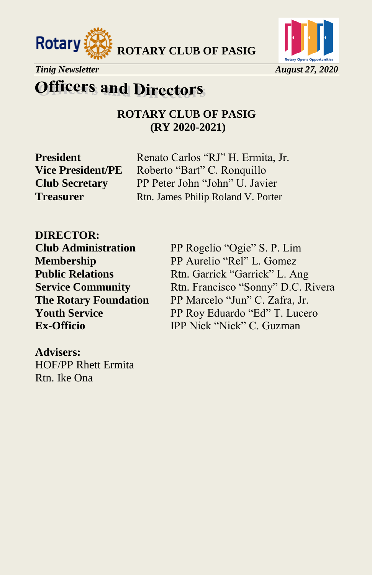![](_page_17_Picture_0.jpeg)

![](_page_17_Picture_2.jpeg)

![](_page_17_Picture_3.jpeg)

## **Officers and Directors**

**ROTARY CLUB OF PASIG (RY 2020-2021)**

**President** Renato Carlos "RJ" H. Ermita, Jr. **Vice President/PE** Roberto "Bart" C. Ronquillo **Club Secretary** PP Peter John "John" U. Javier **Treasurer** Rtn. James Philip Roland V. Porter

**DIRECTOR: Club Administration** PP Rogelio "Ogie" S. P. Lim

**Membership** PP Aurelio "Rel" L. Gomez **Public Relations** Rtn. Garrick "Garrick" L. Ang **Service Community** Rtn. Francisco "Sonny" D.C. Rivera **The Rotary Foundation** PP Marcelo "Jun" C. Zafra, Jr.<br> **Youth Service** PP Rov Eduardo "Ed" T. Luce **PP Roy Eduardo "Ed" T. Lucero Ex-Officio IPP Nick "Nick" C. Guzman** 

**Advisers:** HOF/PP Rhett Ermita Rtn. Ike Ona